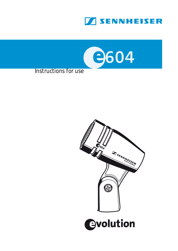



#### Instructions for use

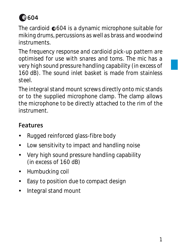# **604**

The cardioid  $©04$  is a dynamic microphone suitable for miking drums, percussions as well as brass and woodwind **instruments** 

The frequency response and cardioid pick-up pattern are optimised for use with snares and toms. The mic has a very high sound pressure handling capability (in excess of 160 dB). The sound inlet basket is made from stainless steel.

The integral stand mount screws directly onto mic stands or to the supplied microphone clamp. The clamp allows the microphone to be directly attached to the rim of the instrument.

### **Features**

- Rugged reinforced glass-fibre body
- Low sensitivity to impact and handling noise
- Very high sound pressure handling capability (in excess of 160 dB)
- Humbucking coil
- Easy to position due to compact design
- Integral stand mount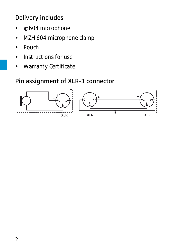### **Delivery includes**

- $©604$  microphone
- MZH 604 microphone clamp
- Pouch
- Instructions for use
- Warranty Certificate

### **Pin assignment of XLR-3 connector**

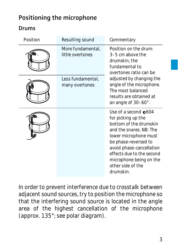### **Positioning the microphone**

#### **Drums**

| Position | Resulting sound                       | Commentary                                                                                                                                                                                                                                                              |  |  |  |  |
|----------|---------------------------------------|-------------------------------------------------------------------------------------------------------------------------------------------------------------------------------------------------------------------------------------------------------------------------|--|--|--|--|
|          | More fundamental.<br>little overtones | Position on the drum:<br>3-5 cm above the<br>drumskin, the<br>fundamental to<br>overtones ratio can be                                                                                                                                                                  |  |  |  |  |
|          | Less fundamental,<br>many overtones   | adjusted by changing the<br>angle of the microphone.<br>The most balanced<br>results are obtained at<br>an angle of 30–60°.                                                                                                                                             |  |  |  |  |
|          |                                       | Use of a second $604$<br>for picking up the<br>bottom of the drumskin<br>and the snares. NB: The<br>lower microphone must<br>be phase-reversed to<br>avoid phase-cancellation<br>effects due to the second<br>microphone being on the<br>other side of the<br>drumskin. |  |  |  |  |

In order to prevent interference due to crosstalk between adjacent sound sources, try to position the microphone so that the interfering sound source is located in the angle area of the highest cancellation of the microphone (approx. 135°; see polar diagram).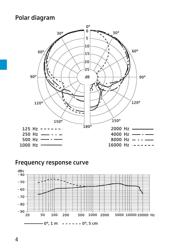#### **Polar diagram**



#### **Frequency response curve**



4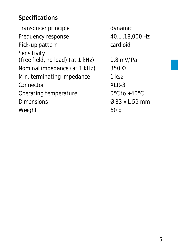### **Specifications**

Transducer principle dynamic Frequency response 40.....18,000 Hz Pick-up pattern cardioid Sensitivity (free field, no load) (at  $1$  kHz) 1.8 mV/Pa Nominal impedance (at 1 kHz)  $350 \Omega$ Min. terminating impedance 1 kΩ Connector XLR-3 Operating temperature 0°C to +40°C Dimensions Ø 33 x L 59 mm Weight 60 g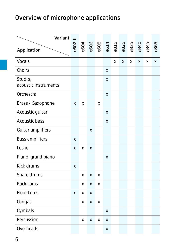### **Overview of microphone applications**

| Variant                         |   |   |   |   |   |   |   |   |                                                                                                          |     |   |
|---------------------------------|---|---|---|---|---|---|---|---|----------------------------------------------------------------------------------------------------------|-----|---|
| Application                     |   |   |   |   |   |   |   |   | $604$<br>$606$<br>$608$<br>$608$<br>$608$<br>$608$<br>$608$<br>$608$<br>$608$<br>$608$<br>$608$<br>$608$ | 845 |   |
| Vocals                          |   |   |   |   |   | X | X | X | X                                                                                                        | X   | X |
| Choirs                          |   |   |   |   | X |   |   |   |                                                                                                          |     |   |
| Studio,<br>acoustic instruments |   |   |   |   | X |   |   |   |                                                                                                          |     |   |
| Orchestra                       |   |   |   |   | X |   |   |   |                                                                                                          |     |   |
| Brass / Saxophone               |   | X |   | x |   |   |   |   |                                                                                                          |     |   |
| Acoustic guitar                 |   |   |   |   | X |   |   |   |                                                                                                          |     |   |
| Acoustic bass                   |   |   |   |   | X |   |   |   |                                                                                                          |     |   |
| Guitar amplifiers               |   |   | X |   |   |   |   |   |                                                                                                          |     |   |
| Bass amplifiers                 |   |   |   |   |   |   |   |   |                                                                                                          |     |   |
| Leslie                          |   | X | X |   |   |   |   |   |                                                                                                          |     |   |
| Piano, grand piano              |   |   |   |   | X |   |   |   |                                                                                                          |     |   |
| Kick drums                      |   |   |   |   |   |   |   |   |                                                                                                          |     |   |
| Snare drums                     |   | x | X | X |   |   |   |   |                                                                                                          |     |   |
| Rack toms                       |   | x | x | X |   |   |   |   |                                                                                                          |     |   |
| Floor toms                      | X | X | X |   |   |   |   |   |                                                                                                          |     |   |
| Congas                          |   | x | X | X |   |   |   |   |                                                                                                          |     |   |
| Cymbals                         |   |   |   |   | X |   |   |   |                                                                                                          |     |   |
| Percussion                      |   | X | X | X | X |   |   |   |                                                                                                          |     |   |
| Overheads                       |   |   |   |   | X |   |   |   |                                                                                                          |     |   |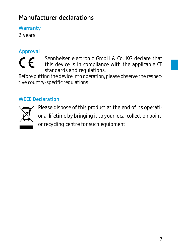### **Manufacturer declarations**

**Warranty**

2 years

## **Approval**  $\epsilon$

Sennheiser electronic GmbH & Co. KG declare that this device is in compliance with the applicable CE standards and regulations.

Before putting the device into operation, please observe the respective country-specific regulations!

#### **WEEE Declaration**



Please dispose of this product at the end of its operational lifetime by bringing it to your local collection point or recycling centre for such equipment.